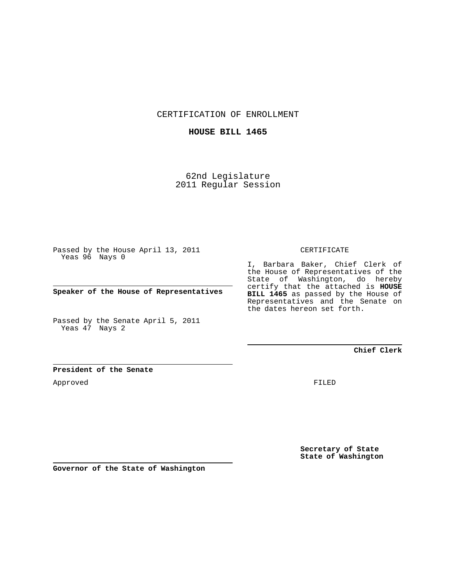CERTIFICATION OF ENROLLMENT

## **HOUSE BILL 1465**

62nd Legislature 2011 Regular Session

Passed by the House April 13, 2011 Yeas 96 Nays 0

**Speaker of the House of Representatives**

Passed by the Senate April 5, 2011 Yeas 47 Nays 2

### CERTIFICATE

I, Barbara Baker, Chief Clerk of the House of Representatives of the State of Washington, do hereby certify that the attached is **HOUSE BILL 1465** as passed by the House of Representatives and the Senate on the dates hereon set forth.

**Chief Clerk**

## **President of the Senate**

Approved

FILED

**Secretary of State State of Washington**

**Governor of the State of Washington**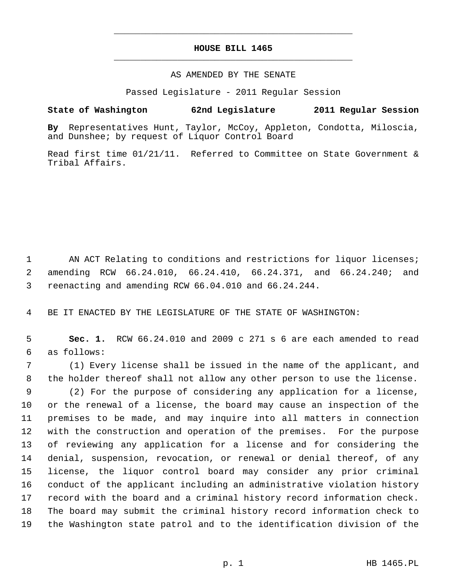# **HOUSE BILL 1465** \_\_\_\_\_\_\_\_\_\_\_\_\_\_\_\_\_\_\_\_\_\_\_\_\_\_\_\_\_\_\_\_\_\_\_\_\_\_\_\_\_\_\_\_\_

\_\_\_\_\_\_\_\_\_\_\_\_\_\_\_\_\_\_\_\_\_\_\_\_\_\_\_\_\_\_\_\_\_\_\_\_\_\_\_\_\_\_\_\_\_

#### AS AMENDED BY THE SENATE

Passed Legislature - 2011 Regular Session

## **State of Washington 62nd Legislature 2011 Regular Session**

**By** Representatives Hunt, Taylor, McCoy, Appleton, Condotta, Miloscia, and Dunshee; by request of Liquor Control Board

Read first time 01/21/11. Referred to Committee on State Government & Tribal Affairs.

1 AN ACT Relating to conditions and restrictions for liquor licenses; 2 amending RCW 66.24.010, 66.24.410, 66.24.371, and 66.24.240; and 3 reenacting and amending RCW 66.04.010 and 66.24.244.

4 BE IT ENACTED BY THE LEGISLATURE OF THE STATE OF WASHINGTON:

 5 **Sec. 1.** RCW 66.24.010 and 2009 c 271 s 6 are each amended to read 6 as follows:

 7 (1) Every license shall be issued in the name of the applicant, and 8 the holder thereof shall not allow any other person to use the license. 9 (2) For the purpose of considering any application for a license, 10 or the renewal of a license, the board may cause an inspection of the 11 premises to be made, and may inquire into all matters in connection 12 with the construction and operation of the premises. For the purpose 13 of reviewing any application for a license and for considering the 14 denial, suspension, revocation, or renewal or denial thereof, of any 15 license, the liquor control board may consider any prior criminal 16 conduct of the applicant including an administrative violation history 17 record with the board and a criminal history record information check. 18 The board may submit the criminal history record information check to 19 the Washington state patrol and to the identification division of the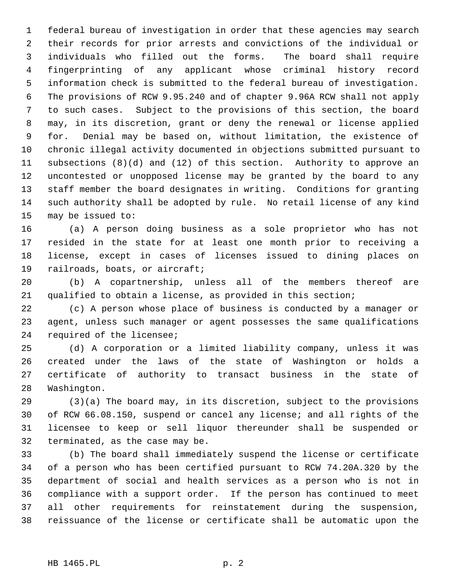1 federal bureau of investigation in order that these agencies may search 2 their records for prior arrests and convictions of the individual or 3 individuals who filled out the forms. The board shall require 4 fingerprinting of any applicant whose criminal history record 5 information check is submitted to the federal bureau of investigation. 6 The provisions of RCW 9.95.240 and of chapter 9.96A RCW shall not apply 7 to such cases. Subject to the provisions of this section, the board 8 may, in its discretion, grant or deny the renewal or license applied 9 for. Denial may be based on, without limitation, the existence of 10 chronic illegal activity documented in objections submitted pursuant to 11 subsections (8)(d) and (12) of this section. Authority to approve an 12 uncontested or unopposed license may be granted by the board to any 13 staff member the board designates in writing. Conditions for granting 14 such authority shall be adopted by rule. No retail license of any kind 15 may be issued to:

16 (a) A person doing business as a sole proprietor who has not 17 resided in the state for at least one month prior to receiving a 18 license, except in cases of licenses issued to dining places on 19 railroads, boats, or aircraft;

20 (b) A copartnership, unless all of the members thereof are 21 qualified to obtain a license, as provided in this section;

22 (c) A person whose place of business is conducted by a manager or 23 agent, unless such manager or agent possesses the same qualifications 24 required of the licensee;

25 (d) A corporation or a limited liability company, unless it was 26 created under the laws of the state of Washington or holds a 27 certificate of authority to transact business in the state of 28 Washington.

29 (3)(a) The board may, in its discretion, subject to the provisions 30 of RCW 66.08.150, suspend or cancel any license; and all rights of the 31 licensee to keep or sell liquor thereunder shall be suspended or 32 terminated, as the case may be.

33 (b) The board shall immediately suspend the license or certificate 34 of a person who has been certified pursuant to RCW 74.20A.320 by the 35 department of social and health services as a person who is not in 36 compliance with a support order. If the person has continued to meet 37 all other requirements for reinstatement during the suspension, 38 reissuance of the license or certificate shall be automatic upon the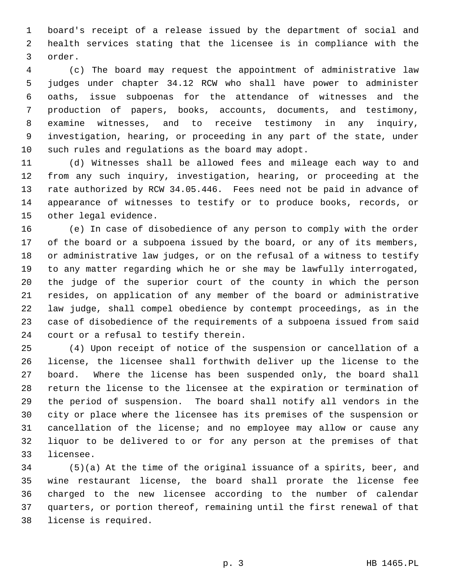1 board's receipt of a release issued by the department of social and 2 health services stating that the licensee is in compliance with the 3 order.

 4 (c) The board may request the appointment of administrative law 5 judges under chapter 34.12 RCW who shall have power to administer 6 oaths, issue subpoenas for the attendance of witnesses and the 7 production of papers, books, accounts, documents, and testimony, 8 examine witnesses, and to receive testimony in any inquiry, 9 investigation, hearing, or proceeding in any part of the state, under 10 such rules and regulations as the board may adopt.

11 (d) Witnesses shall be allowed fees and mileage each way to and 12 from any such inquiry, investigation, hearing, or proceeding at the 13 rate authorized by RCW 34.05.446. Fees need not be paid in advance of 14 appearance of witnesses to testify or to produce books, records, or 15 other legal evidence.

16 (e) In case of disobedience of any person to comply with the order 17 of the board or a subpoena issued by the board, or any of its members, 18 or administrative law judges, or on the refusal of a witness to testify 19 to any matter regarding which he or she may be lawfully interrogated, 20 the judge of the superior court of the county in which the person 21 resides, on application of any member of the board or administrative 22 law judge, shall compel obedience by contempt proceedings, as in the 23 case of disobedience of the requirements of a subpoena issued from said 24 court or a refusal to testify therein.

25 (4) Upon receipt of notice of the suspension or cancellation of a 26 license, the licensee shall forthwith deliver up the license to the 27 board. Where the license has been suspended only, the board shall 28 return the license to the licensee at the expiration or termination of 29 the period of suspension. The board shall notify all vendors in the 30 city or place where the licensee has its premises of the suspension or 31 cancellation of the license; and no employee may allow or cause any 32 liquor to be delivered to or for any person at the premises of that 33 licensee.

34 (5)(a) At the time of the original issuance of a spirits, beer, and 35 wine restaurant license, the board shall prorate the license fee 36 charged to the new licensee according to the number of calendar 37 quarters, or portion thereof, remaining until the first renewal of that 38 license is required.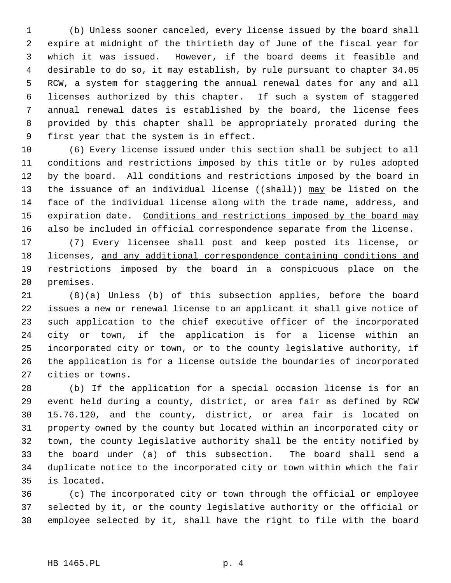1 (b) Unless sooner canceled, every license issued by the board shall 2 expire at midnight of the thirtieth day of June of the fiscal year for 3 which it was issued. However, if the board deems it feasible and 4 desirable to do so, it may establish, by rule pursuant to chapter 34.05 5 RCW, a system for staggering the annual renewal dates for any and all 6 licenses authorized by this chapter. If such a system of staggered 7 annual renewal dates is established by the board, the license fees 8 provided by this chapter shall be appropriately prorated during the 9 first year that the system is in effect.

10 (6) Every license issued under this section shall be subject to all 11 conditions and restrictions imposed by this title or by rules adopted 12 by the board. All conditions and restrictions imposed by the board in 13 the issuance of an individual license ((shall)) may be listed on the 14 face of the individual license along with the trade name, address, and 15 expiration date. Conditions and restrictions imposed by the board may 16 also be included in official correspondence separate from the license.

17 (7) Every licensee shall post and keep posted its license, or 18 licenses, and any additional correspondence containing conditions and 19 restrictions imposed by the board in a conspicuous place on the 20 premises.

21 (8)(a) Unless (b) of this subsection applies, before the board 22 issues a new or renewal license to an applicant it shall give notice of 23 such application to the chief executive officer of the incorporated 24 city or town, if the application is for a license within an 25 incorporated city or town, or to the county legislative authority, if 26 the application is for a license outside the boundaries of incorporated 27 cities or towns.

28 (b) If the application for a special occasion license is for an 29 event held during a county, district, or area fair as defined by RCW 30 15.76.120, and the county, district, or area fair is located on 31 property owned by the county but located within an incorporated city or 32 town, the county legislative authority shall be the entity notified by 33 the board under (a) of this subsection. The board shall send a 34 duplicate notice to the incorporated city or town within which the fair 35 is located.

36 (c) The incorporated city or town through the official or employee 37 selected by it, or the county legislative authority or the official or 38 employee selected by it, shall have the right to file with the board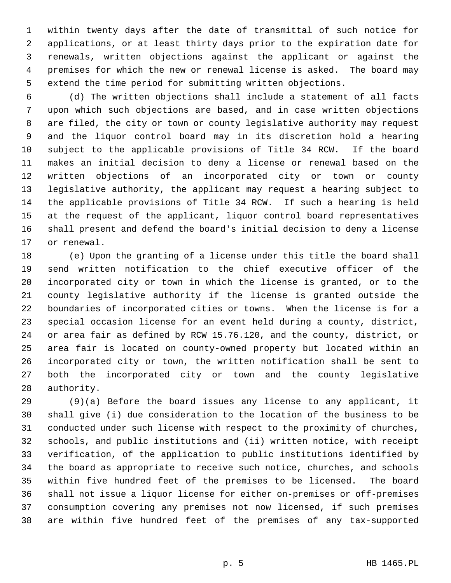1 within twenty days after the date of transmittal of such notice for 2 applications, or at least thirty days prior to the expiration date for 3 renewals, written objections against the applicant or against the 4 premises for which the new or renewal license is asked. The board may 5 extend the time period for submitting written objections.

 6 (d) The written objections shall include a statement of all facts 7 upon which such objections are based, and in case written objections 8 are filed, the city or town or county legislative authority may request 9 and the liquor control board may in its discretion hold a hearing 10 subject to the applicable provisions of Title 34 RCW. If the board 11 makes an initial decision to deny a license or renewal based on the 12 written objections of an incorporated city or town or county 13 legislative authority, the applicant may request a hearing subject to 14 the applicable provisions of Title 34 RCW. If such a hearing is held 15 at the request of the applicant, liquor control board representatives 16 shall present and defend the board's initial decision to deny a license 17 or renewal.

18 (e) Upon the granting of a license under this title the board shall 19 send written notification to the chief executive officer of the 20 incorporated city or town in which the license is granted, or to the 21 county legislative authority if the license is granted outside the 22 boundaries of incorporated cities or towns. When the license is for a 23 special occasion license for an event held during a county, district, 24 or area fair as defined by RCW 15.76.120, and the county, district, or 25 area fair is located on county-owned property but located within an 26 incorporated city or town, the written notification shall be sent to 27 both the incorporated city or town and the county legislative 28 authority.

29 (9)(a) Before the board issues any license to any applicant, it 30 shall give (i) due consideration to the location of the business to be 31 conducted under such license with respect to the proximity of churches, 32 schools, and public institutions and (ii) written notice, with receipt 33 verification, of the application to public institutions identified by 34 the board as appropriate to receive such notice, churches, and schools 35 within five hundred feet of the premises to be licensed. The board 36 shall not issue a liquor license for either on-premises or off-premises 37 consumption covering any premises not now licensed, if such premises 38 are within five hundred feet of the premises of any tax-supported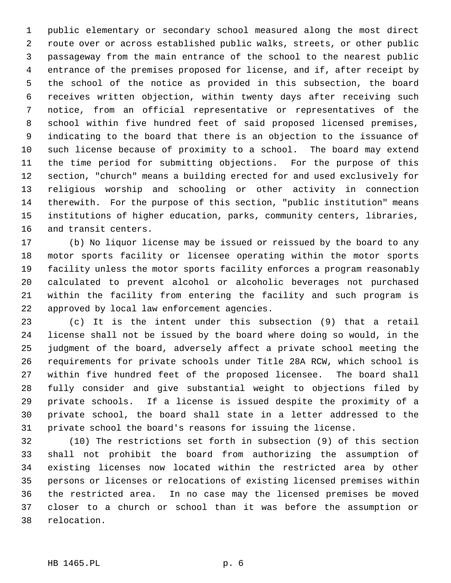1 public elementary or secondary school measured along the most direct 2 route over or across established public walks, streets, or other public 3 passageway from the main entrance of the school to the nearest public 4 entrance of the premises proposed for license, and if, after receipt by 5 the school of the notice as provided in this subsection, the board 6 receives written objection, within twenty days after receiving such 7 notice, from an official representative or representatives of the 8 school within five hundred feet of said proposed licensed premises, 9 indicating to the board that there is an objection to the issuance of 10 such license because of proximity to a school. The board may extend 11 the time period for submitting objections. For the purpose of this 12 section, "church" means a building erected for and used exclusively for 13 religious worship and schooling or other activity in connection 14 therewith. For the purpose of this section, "public institution" means 15 institutions of higher education, parks, community centers, libraries, 16 and transit centers.

17 (b) No liquor license may be issued or reissued by the board to any 18 motor sports facility or licensee operating within the motor sports 19 facility unless the motor sports facility enforces a program reasonably 20 calculated to prevent alcohol or alcoholic beverages not purchased 21 within the facility from entering the facility and such program is 22 approved by local law enforcement agencies.

23 (c) It is the intent under this subsection (9) that a retail 24 license shall not be issued by the board where doing so would, in the 25 judgment of the board, adversely affect a private school meeting the 26 requirements for private schools under Title 28A RCW, which school is 27 within five hundred feet of the proposed licensee. The board shall 28 fully consider and give substantial weight to objections filed by 29 private schools. If a license is issued despite the proximity of a 30 private school, the board shall state in a letter addressed to the 31 private school the board's reasons for issuing the license.

32 (10) The restrictions set forth in subsection (9) of this section 33 shall not prohibit the board from authorizing the assumption of 34 existing licenses now located within the restricted area by other 35 persons or licenses or relocations of existing licensed premises within 36 the restricted area. In no case may the licensed premises be moved 37 closer to a church or school than it was before the assumption or 38 relocation.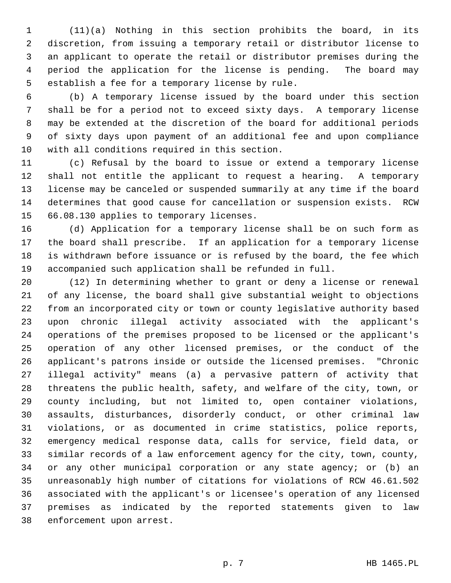1 (11)(a) Nothing in this section prohibits the board, in its 2 discretion, from issuing a temporary retail or distributor license to 3 an applicant to operate the retail or distributor premises during the 4 period the application for the license is pending. The board may 5 establish a fee for a temporary license by rule.

 6 (b) A temporary license issued by the board under this section 7 shall be for a period not to exceed sixty days. A temporary license 8 may be extended at the discretion of the board for additional periods 9 of sixty days upon payment of an additional fee and upon compliance 10 with all conditions required in this section.

11 (c) Refusal by the board to issue or extend a temporary license 12 shall not entitle the applicant to request a hearing. A temporary 13 license may be canceled or suspended summarily at any time if the board 14 determines that good cause for cancellation or suspension exists. RCW 15 66.08.130 applies to temporary licenses.

16 (d) Application for a temporary license shall be on such form as 17 the board shall prescribe. If an application for a temporary license 18 is withdrawn before issuance or is refused by the board, the fee which 19 accompanied such application shall be refunded in full.

20 (12) In determining whether to grant or deny a license or renewal 21 of any license, the board shall give substantial weight to objections 22 from an incorporated city or town or county legislative authority based 23 upon chronic illegal activity associated with the applicant's 24 operations of the premises proposed to be licensed or the applicant's 25 operation of any other licensed premises, or the conduct of the 26 applicant's patrons inside or outside the licensed premises. "Chronic 27 illegal activity" means (a) a pervasive pattern of activity that 28 threatens the public health, safety, and welfare of the city, town, or 29 county including, but not limited to, open container violations, 30 assaults, disturbances, disorderly conduct, or other criminal law 31 violations, or as documented in crime statistics, police reports, 32 emergency medical response data, calls for service, field data, or 33 similar records of a law enforcement agency for the city, town, county, 34 or any other municipal corporation or any state agency; or (b) an 35 unreasonably high number of citations for violations of RCW 46.61.502 36 associated with the applicant's or licensee's operation of any licensed 37 premises as indicated by the reported statements given to law 38 enforcement upon arrest.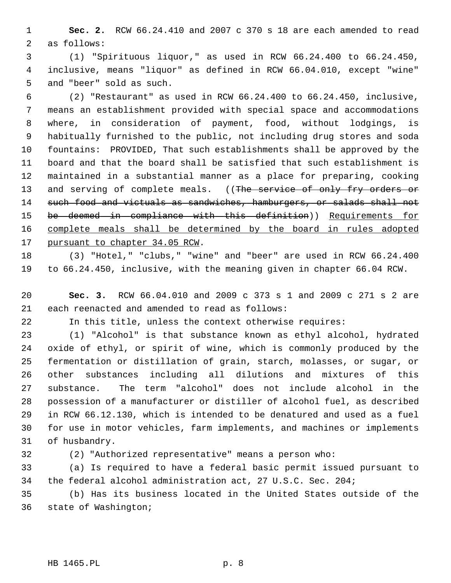1 **Sec. 2.** RCW 66.24.410 and 2007 c 370 s 18 are each amended to read 2 as follows:

 3 (1) "Spirituous liquor," as used in RCW 66.24.400 to 66.24.450, 4 inclusive, means "liquor" as defined in RCW 66.04.010, except "wine" 5 and "beer" sold as such.

 6 (2) "Restaurant" as used in RCW 66.24.400 to 66.24.450, inclusive, 7 means an establishment provided with special space and accommodations 8 where, in consideration of payment, food, without lodgings, is 9 habitually furnished to the public, not including drug stores and soda 10 fountains: PROVIDED, That such establishments shall be approved by the 11 board and that the board shall be satisfied that such establishment is 12 maintained in a substantial manner as a place for preparing, cooking 13 and serving of complete meals. ((The service of only fry orders or 14 such food and victuals as sandwiches, hamburgers, or salads shall not 15 be deemed in compliance with this definition)) Requirements for 16 complete meals shall be determined by the board in rules adopted 17 pursuant to chapter 34.05 RCW.

18 (3) "Hotel," "clubs," "wine" and "beer" are used in RCW 66.24.400 19 to 66.24.450, inclusive, with the meaning given in chapter 66.04 RCW.

20 **Sec. 3.** RCW 66.04.010 and 2009 c 373 s 1 and 2009 c 271 s 2 are 21 each reenacted and amended to read as follows:

22 In this title, unless the context otherwise requires:

23 (1) "Alcohol" is that substance known as ethyl alcohol, hydrated 24 oxide of ethyl, or spirit of wine, which is commonly produced by the 25 fermentation or distillation of grain, starch, molasses, or sugar, or 26 other substances including all dilutions and mixtures of this 27 substance. The term "alcohol" does not include alcohol in the 28 possession of a manufacturer or distiller of alcohol fuel, as described 29 in RCW 66.12.130, which is intended to be denatured and used as a fuel 30 for use in motor vehicles, farm implements, and machines or implements 31 of husbandry.

32 (2) "Authorized representative" means a person who:

33 (a) Is required to have a federal basic permit issued pursuant to 34 the federal alcohol administration act, 27 U.S.C. Sec. 204;

35 (b) Has its business located in the United States outside of the 36 state of Washington;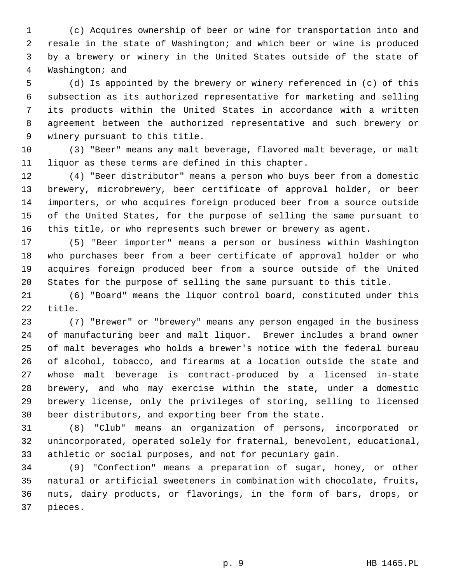1 (c) Acquires ownership of beer or wine for transportation into and 2 resale in the state of Washington; and which beer or wine is produced 3 by a brewery or winery in the United States outside of the state of 4 Washington; and

 5 (d) Is appointed by the brewery or winery referenced in (c) of this 6 subsection as its authorized representative for marketing and selling 7 its products within the United States in accordance with a written 8 agreement between the authorized representative and such brewery or 9 winery pursuant to this title.

10 (3) "Beer" means any malt beverage, flavored malt beverage, or malt 11 liquor as these terms are defined in this chapter.

12 (4) "Beer distributor" means a person who buys beer from a domestic 13 brewery, microbrewery, beer certificate of approval holder, or beer 14 importers, or who acquires foreign produced beer from a source outside 15 of the United States, for the purpose of selling the same pursuant to 16 this title, or who represents such brewer or brewery as agent.

17 (5) "Beer importer" means a person or business within Washington 18 who purchases beer from a beer certificate of approval holder or who 19 acquires foreign produced beer from a source outside of the United 20 States for the purpose of selling the same pursuant to this title.

21 (6) "Board" means the liquor control board, constituted under this 22 title.

23 (7) "Brewer" or "brewery" means any person engaged in the business 24 of manufacturing beer and malt liquor. Brewer includes a brand owner 25 of malt beverages who holds a brewer's notice with the federal bureau 26 of alcohol, tobacco, and firearms at a location outside the state and 27 whose malt beverage is contract-produced by a licensed in-state 28 brewery, and who may exercise within the state, under a domestic 29 brewery license, only the privileges of storing, selling to licensed 30 beer distributors, and exporting beer from the state.

31 (8) "Club" means an organization of persons, incorporated or 32 unincorporated, operated solely for fraternal, benevolent, educational, 33 athletic or social purposes, and not for pecuniary gain.

34 (9) "Confection" means a preparation of sugar, honey, or other 35 natural or artificial sweeteners in combination with chocolate, fruits, 36 nuts, dairy products, or flavorings, in the form of bars, drops, or 37 pieces.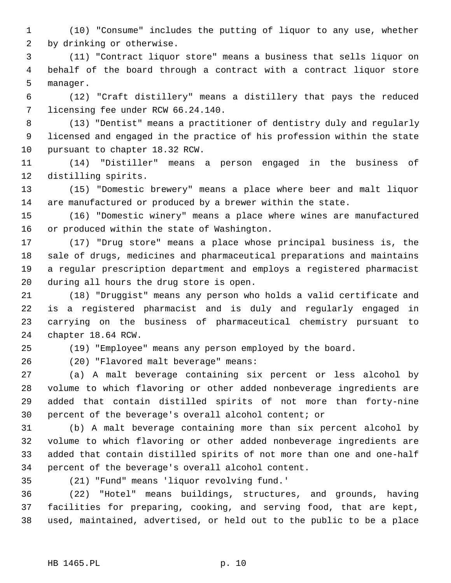1 (10) "Consume" includes the putting of liquor to any use, whether 2 by drinking or otherwise.

 3 (11) "Contract liquor store" means a business that sells liquor on 4 behalf of the board through a contract with a contract liquor store 5 manager.

 6 (12) "Craft distillery" means a distillery that pays the reduced 7 licensing fee under RCW 66.24.140.

 8 (13) "Dentist" means a practitioner of dentistry duly and regularly 9 licensed and engaged in the practice of his profession within the state 10 pursuant to chapter 18.32 RCW.

11 (14) "Distiller" means a person engaged in the business of 12 distilling spirits.

13 (15) "Domestic brewery" means a place where beer and malt liquor 14 are manufactured or produced by a brewer within the state.

15 (16) "Domestic winery" means a place where wines are manufactured 16 or produced within the state of Washington.

17 (17) "Drug store" means a place whose principal business is, the 18 sale of drugs, medicines and pharmaceutical preparations and maintains 19 a regular prescription department and employs a registered pharmacist 20 during all hours the drug store is open.

21 (18) "Druggist" means any person who holds a valid certificate and 22 is a registered pharmacist and is duly and regularly engaged in 23 carrying on the business of pharmaceutical chemistry pursuant to 24 chapter 18.64 RCW.

25 (19) "Employee" means any person employed by the board.

26 (20) "Flavored malt beverage" means:

27 (a) A malt beverage containing six percent or less alcohol by 28 volume to which flavoring or other added nonbeverage ingredients are 29 added that contain distilled spirits of not more than forty-nine 30 percent of the beverage's overall alcohol content; or

31 (b) A malt beverage containing more than six percent alcohol by 32 volume to which flavoring or other added nonbeverage ingredients are 33 added that contain distilled spirits of not more than one and one-half 34 percent of the beverage's overall alcohol content.

35 (21) "Fund" means 'liquor revolving fund.'

36 (22) "Hotel" means buildings, structures, and grounds, having 37 facilities for preparing, cooking, and serving food, that are kept, 38 used, maintained, advertised, or held out to the public to be a place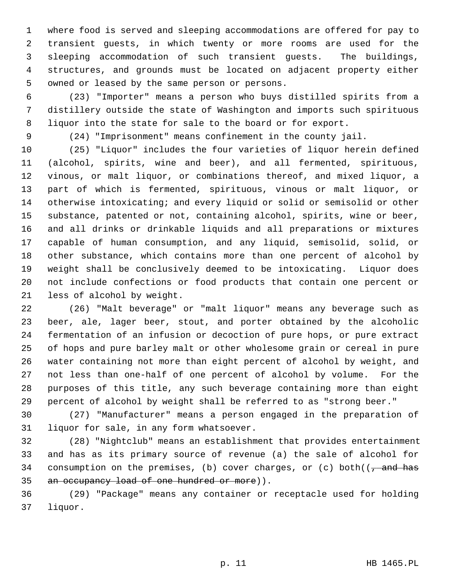1 where food is served and sleeping accommodations are offered for pay to 2 transient guests, in which twenty or more rooms are used for the 3 sleeping accommodation of such transient guests. The buildings, 4 structures, and grounds must be located on adjacent property either 5 owned or leased by the same person or persons.

 6 (23) "Importer" means a person who buys distilled spirits from a 7 distillery outside the state of Washington and imports such spirituous 8 liquor into the state for sale to the board or for export.

9 (24) "Imprisonment" means confinement in the county jail.

10 (25) "Liquor" includes the four varieties of liquor herein defined 11 (alcohol, spirits, wine and beer), and all fermented, spirituous, 12 vinous, or malt liquor, or combinations thereof, and mixed liquor, a 13 part of which is fermented, spirituous, vinous or malt liquor, or 14 otherwise intoxicating; and every liquid or solid or semisolid or other 15 substance, patented or not, containing alcohol, spirits, wine or beer, 16 and all drinks or drinkable liquids and all preparations or mixtures 17 capable of human consumption, and any liquid, semisolid, solid, or 18 other substance, which contains more than one percent of alcohol by 19 weight shall be conclusively deemed to be intoxicating. Liquor does 20 not include confections or food products that contain one percent or 21 less of alcohol by weight.

22 (26) "Malt beverage" or "malt liquor" means any beverage such as 23 beer, ale, lager beer, stout, and porter obtained by the alcoholic 24 fermentation of an infusion or decoction of pure hops, or pure extract 25 of hops and pure barley malt or other wholesome grain or cereal in pure 26 water containing not more than eight percent of alcohol by weight, and 27 not less than one-half of one percent of alcohol by volume. For the 28 purposes of this title, any such beverage containing more than eight 29 percent of alcohol by weight shall be referred to as "strong beer."

30 (27) "Manufacturer" means a person engaged in the preparation of 31 liquor for sale, in any form whatsoever.

32 (28) "Nightclub" means an establishment that provides entertainment 33 and has as its primary source of revenue (a) the sale of alcohol for 34 consumption on the premises, (b) cover charges, or (c) both( $\sqrt{\frac{a}{a}}$  and has 35 an occupancy load of one hundred or more)).

36 (29) "Package" means any container or receptacle used for holding 37 liquor.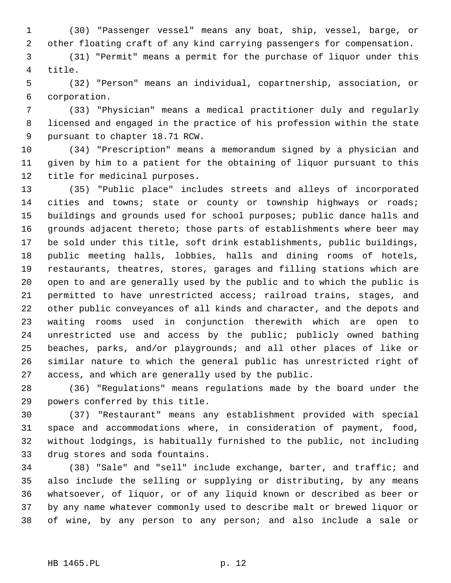1 (30) "Passenger vessel" means any boat, ship, vessel, barge, or 2 other floating craft of any kind carrying passengers for compensation.

 3 (31) "Permit" means a permit for the purchase of liquor under this 4 title.

 5 (32) "Person" means an individual, copartnership, association, or 6 corporation.

 7 (33) "Physician" means a medical practitioner duly and regularly 8 licensed and engaged in the practice of his profession within the state 9 pursuant to chapter 18.71 RCW.

10 (34) "Prescription" means a memorandum signed by a physician and 11 given by him to a patient for the obtaining of liquor pursuant to this 12 title for medicinal purposes.

13 (35) "Public place" includes streets and alleys of incorporated 14 cities and towns; state or county or township highways or roads; 15 buildings and grounds used for school purposes; public dance halls and 16 grounds adjacent thereto; those parts of establishments where beer may 17 be sold under this title, soft drink establishments, public buildings, 18 public meeting halls, lobbies, halls and dining rooms of hotels, 19 restaurants, theatres, stores, garages and filling stations which are 20 open to and are generally used by the public and to which the public is 21 permitted to have unrestricted access; railroad trains, stages, and 22 other public conveyances of all kinds and character, and the depots and 23 waiting rooms used in conjunction therewith which are open to 24 unrestricted use and access by the public; publicly owned bathing 25 beaches, parks, and/or playgrounds; and all other places of like or 26 similar nature to which the general public has unrestricted right of 27 access, and which are generally used by the public.

28 (36) "Regulations" means regulations made by the board under the 29 powers conferred by this title.

30 (37) "Restaurant" means any establishment provided with special 31 space and accommodations where, in consideration of payment, food, 32 without lodgings, is habitually furnished to the public, not including 33 drug stores and soda fountains.

34 (38) "Sale" and "sell" include exchange, barter, and traffic; and 35 also include the selling or supplying or distributing, by any means 36 whatsoever, of liquor, or of any liquid known or described as beer or 37 by any name whatever commonly used to describe malt or brewed liquor or 38 of wine, by any person to any person; and also include a sale or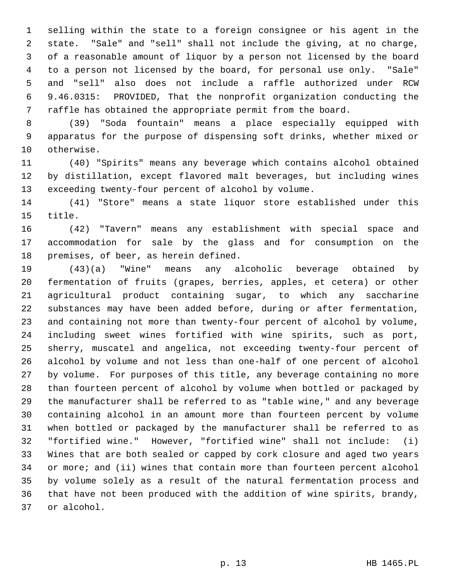1 selling within the state to a foreign consignee or his agent in the 2 state. "Sale" and "sell" shall not include the giving, at no charge, 3 of a reasonable amount of liquor by a person not licensed by the board 4 to a person not licensed by the board, for personal use only. "Sale" 5 and "sell" also does not include a raffle authorized under RCW 6 9.46.0315: PROVIDED, That the nonprofit organization conducting the 7 raffle has obtained the appropriate permit from the board.

 8 (39) "Soda fountain" means a place especially equipped with 9 apparatus for the purpose of dispensing soft drinks, whether mixed or 10 otherwise.

11 (40) "Spirits" means any beverage which contains alcohol obtained 12 by distillation, except flavored malt beverages, but including wines 13 exceeding twenty-four percent of alcohol by volume.

14 (41) "Store" means a state liquor store established under this 15 title.

16 (42) "Tavern" means any establishment with special space and 17 accommodation for sale by the glass and for consumption on the 18 premises, of beer, as herein defined.

19 (43)(a) "Wine" means any alcoholic beverage obtained by 20 fermentation of fruits (grapes, berries, apples, et cetera) or other 21 agricultural product containing sugar, to which any saccharine 22 substances may have been added before, during or after fermentation, 23 and containing not more than twenty-four percent of alcohol by volume, 24 including sweet wines fortified with wine spirits, such as port, 25 sherry, muscatel and angelica, not exceeding twenty-four percent of 26 alcohol by volume and not less than one-half of one percent of alcohol 27 by volume. For purposes of this title, any beverage containing no more 28 than fourteen percent of alcohol by volume when bottled or packaged by 29 the manufacturer shall be referred to as "table wine," and any beverage 30 containing alcohol in an amount more than fourteen percent by volume 31 when bottled or packaged by the manufacturer shall be referred to as 32 "fortified wine." However, "fortified wine" shall not include: (i) 33 Wines that are both sealed or capped by cork closure and aged two years 34 or more; and (ii) wines that contain more than fourteen percent alcohol 35 by volume solely as a result of the natural fermentation process and 36 that have not been produced with the addition of wine spirits, brandy, 37 or alcohol.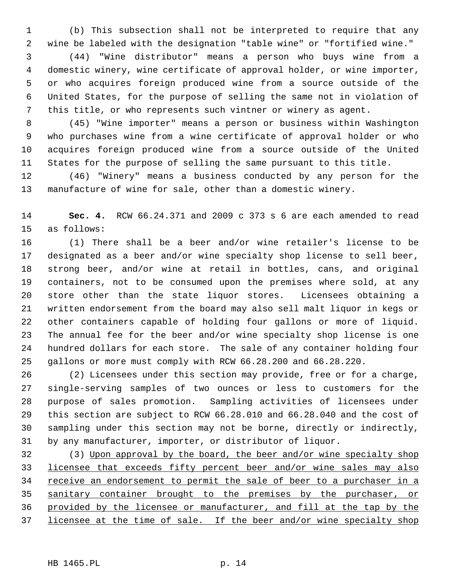1 (b) This subsection shall not be interpreted to require that any 2 wine be labeled with the designation "table wine" or "fortified wine."

 3 (44) "Wine distributor" means a person who buys wine from a 4 domestic winery, wine certificate of approval holder, or wine importer, 5 or who acquires foreign produced wine from a source outside of the 6 United States, for the purpose of selling the same not in violation of 7 this title, or who represents such vintner or winery as agent.

 8 (45) "Wine importer" means a person or business within Washington 9 who purchases wine from a wine certificate of approval holder or who 10 acquires foreign produced wine from a source outside of the United 11 States for the purpose of selling the same pursuant to this title.

12 (46) "Winery" means a business conducted by any person for the 13 manufacture of wine for sale, other than a domestic winery.

14 **Sec. 4.** RCW 66.24.371 and 2009 c 373 s 6 are each amended to read 15 as follows:

16 (1) There shall be a beer and/or wine retailer's license to be 17 designated as a beer and/or wine specialty shop license to sell beer, 18 strong beer, and/or wine at retail in bottles, cans, and original 19 containers, not to be consumed upon the premises where sold, at any 20 store other than the state liquor stores. Licensees obtaining a 21 written endorsement from the board may also sell malt liquor in kegs or 22 other containers capable of holding four gallons or more of liquid. 23 The annual fee for the beer and/or wine specialty shop license is one 24 hundred dollars for each store. The sale of any container holding four 25 gallons or more must comply with RCW 66.28.200 and 66.28.220.

26 (2) Licensees under this section may provide, free or for a charge, 27 single-serving samples of two ounces or less to customers for the 28 purpose of sales promotion. Sampling activities of licensees under 29 this section are subject to RCW 66.28.010 and 66.28.040 and the cost of 30 sampling under this section may not be borne, directly or indirectly, 31 by any manufacturer, importer, or distributor of liquor.

32 (3) Upon approval by the board, the beer and/or wine specialty shop licensee that exceeds fifty percent beer and/or wine sales may also 34 receive an endorsement to permit the sale of beer to a purchaser in a sanitary container brought to the premises by the purchaser, or provided by the licensee or manufacturer, and fill at the tap by the licensee at the time of sale. If the beer and/or wine specialty shop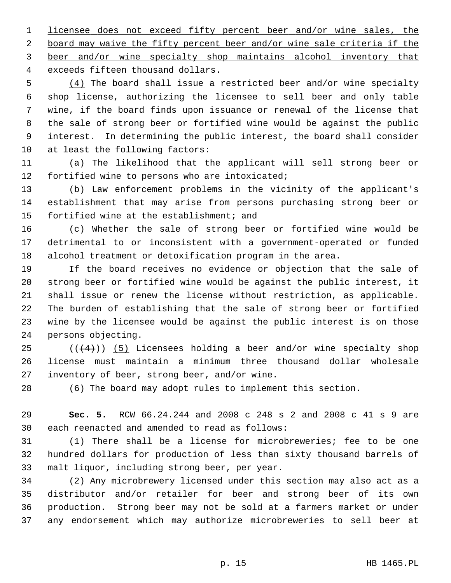licensee does not exceed fifty percent beer and/or wine sales, the board may waive the fifty percent beer and/or wine sale criteria if the beer and/or wine specialty shop maintains alcohol inventory that exceeds fifteen thousand dollars.

 5 (4) The board shall issue a restricted beer and/or wine specialty 6 shop license, authorizing the licensee to sell beer and only table 7 wine, if the board finds upon issuance or renewal of the license that 8 the sale of strong beer or fortified wine would be against the public 9 interest. In determining the public interest, the board shall consider 10 at least the following factors:

11 (a) The likelihood that the applicant will sell strong beer or 12 fortified wine to persons who are intoxicated;

13 (b) Law enforcement problems in the vicinity of the applicant's 14 establishment that may arise from persons purchasing strong beer or 15 fortified wine at the establishment; and

16 (c) Whether the sale of strong beer or fortified wine would be 17 detrimental to or inconsistent with a government-operated or funded 18 alcohol treatment or detoxification program in the area.

19 If the board receives no evidence or objection that the sale of 20 strong beer or fortified wine would be against the public interest, it 21 shall issue or renew the license without restriction, as applicable. 22 The burden of establishing that the sale of strong beer or fortified 23 wine by the licensee would be against the public interest is on those 24 persons objecting.

25  $((+4))$  (5) Licensees holding a beer and/or wine specialty shop 26 license must maintain a minimum three thousand dollar wholesale 27 inventory of beer, strong beer, and/or wine.

28 (6) The board may adopt rules to implement this section.

29 **Sec. 5.** RCW 66.24.244 and 2008 c 248 s 2 and 2008 c 41 s 9 are 30 each reenacted and amended to read as follows:

31 (1) There shall be a license for microbreweries; fee to be one 32 hundred dollars for production of less than sixty thousand barrels of 33 malt liquor, including strong beer, per year.

34 (2) Any microbrewery licensed under this section may also act as a 35 distributor and/or retailer for beer and strong beer of its own 36 production. Strong beer may not be sold at a farmers market or under 37 any endorsement which may authorize microbreweries to sell beer at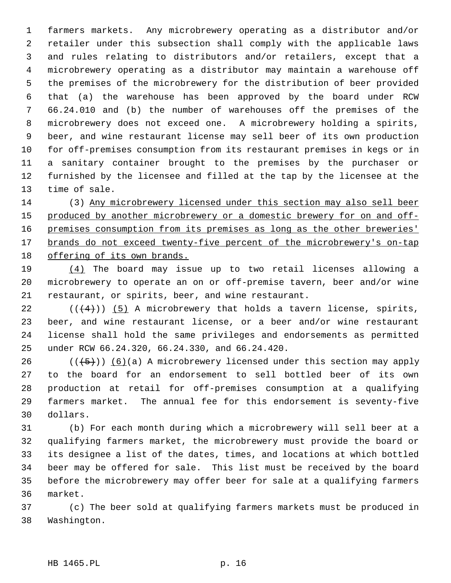1 farmers markets. Any microbrewery operating as a distributor and/or 2 retailer under this subsection shall comply with the applicable laws 3 and rules relating to distributors and/or retailers, except that a 4 microbrewery operating as a distributor may maintain a warehouse off 5 the premises of the microbrewery for the distribution of beer provided 6 that (a) the warehouse has been approved by the board under RCW 7 66.24.010 and (b) the number of warehouses off the premises of the 8 microbrewery does not exceed one. A microbrewery holding a spirits, 9 beer, and wine restaurant license may sell beer of its own production 10 for off-premises consumption from its restaurant premises in kegs or in 11 a sanitary container brought to the premises by the purchaser or 12 furnished by the licensee and filled at the tap by the licensee at the 13 time of sale.

14 (3) Any microbrewery licensed under this section may also sell beer produced by another microbrewery or a domestic brewery for on and off- premises consumption from its premises as long as the other breweries' brands do not exceed twenty-five percent of the microbrewery's on-tap offering of its own brands.

19 (4) The board may issue up to two retail licenses allowing a 20 microbrewery to operate an on or off-premise tavern, beer and/or wine 21 restaurant, or spirits, beer, and wine restaurant.

22  $((+4))$  (5) A microbrewery that holds a tavern license, spirits, 23 beer, and wine restaurant license, or a beer and/or wine restaurant 24 license shall hold the same privileges and endorsements as permitted 25 under RCW 66.24.320, 66.24.330, and 66.24.420.

26 ( $(\frac{5}{5})$ ) (6)(a) A microbrewery licensed under this section may apply 27 to the board for an endorsement to sell bottled beer of its own 28 production at retail for off-premises consumption at a qualifying 29 farmers market. The annual fee for this endorsement is seventy-five 30 dollars.

31 (b) For each month during which a microbrewery will sell beer at a 32 qualifying farmers market, the microbrewery must provide the board or 33 its designee a list of the dates, times, and locations at which bottled 34 beer may be offered for sale. This list must be received by the board 35 before the microbrewery may offer beer for sale at a qualifying farmers 36 market.

37 (c) The beer sold at qualifying farmers markets must be produced in 38 Washington.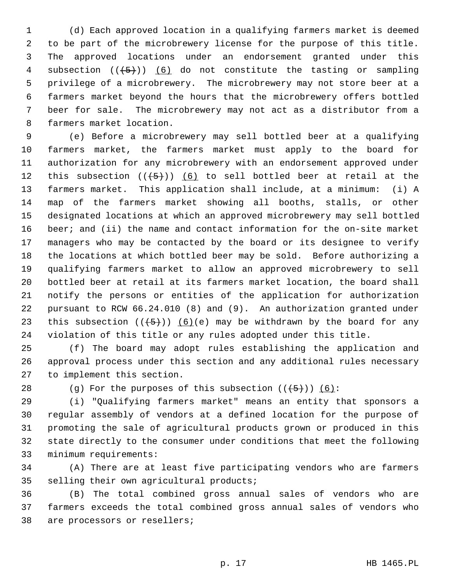1 (d) Each approved location in a qualifying farmers market is deemed 2 to be part of the microbrewery license for the purpose of this title. 3 The approved locations under an endorsement granted under this 4 subsection  $((+5))$  (6) do not constitute the tasting or sampling 5 privilege of a microbrewery. The microbrewery may not store beer at a 6 farmers market beyond the hours that the microbrewery offers bottled 7 beer for sale. The microbrewery may not act as a distributor from a 8 farmers market location.

 9 (e) Before a microbrewery may sell bottled beer at a qualifying 10 farmers market, the farmers market must apply to the board for 11 authorization for any microbrewery with an endorsement approved under 12 this subsection  $((+5+))$  (6) to sell bottled beer at retail at the 13 farmers market. This application shall include, at a minimum: (i) A 14 map of the farmers market showing all booths, stalls, or other 15 designated locations at which an approved microbrewery may sell bottled 16 beer; and (ii) the name and contact information for the on-site market 17 managers who may be contacted by the board or its designee to verify 18 the locations at which bottled beer may be sold. Before authorizing a 19 qualifying farmers market to allow an approved microbrewery to sell 20 bottled beer at retail at its farmers market location, the board shall 21 notify the persons or entities of the application for authorization 22 pursuant to RCW 66.24.010 (8) and (9). An authorization granted under 23 this subsection  $((+5))$  (6)(e) may be withdrawn by the board for any 24 violation of this title or any rules adopted under this title.

25 (f) The board may adopt rules establishing the application and 26 approval process under this section and any additional rules necessary 27 to implement this section.

28 (g) For the purposes of this subsection  $((+5))$   $(6)$ :

29 (i) "Qualifying farmers market" means an entity that sponsors a 30 regular assembly of vendors at a defined location for the purpose of 31 promoting the sale of agricultural products grown or produced in this 32 state directly to the consumer under conditions that meet the following 33 minimum requirements:

34 (A) There are at least five participating vendors who are farmers 35 selling their own agricultural products;

36 (B) The total combined gross annual sales of vendors who are 37 farmers exceeds the total combined gross annual sales of vendors who 38 are processors or resellers;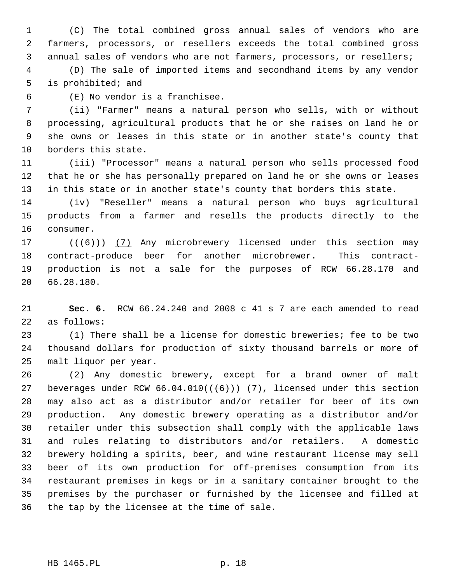1 (C) The total combined gross annual sales of vendors who are 2 farmers, processors, or resellers exceeds the total combined gross 3 annual sales of vendors who are not farmers, processors, or resellers;

 4 (D) The sale of imported items and secondhand items by any vendor 5 is prohibited; and

6 (E) No vendor is a franchisee.

 7 (ii) "Farmer" means a natural person who sells, with or without 8 processing, agricultural products that he or she raises on land he or 9 she owns or leases in this state or in another state's county that 10 borders this state.

11 (iii) "Processor" means a natural person who sells processed food 12 that he or she has personally prepared on land he or she owns or leases 13 in this state or in another state's county that borders this state.

14 (iv) "Reseller" means a natural person who buys agricultural 15 products from a farmer and resells the products directly to the 16 consumer.

17  $((+6))$  (7) Any microbrewery licensed under this section may 18 contract-produce beer for another microbrewer. This contract-19 production is not a sale for the purposes of RCW 66.28.170 and 20 66.28.180.

21 **Sec. 6.** RCW 66.24.240 and 2008 c 41 s 7 are each amended to read 22 as follows:

23 (1) There shall be a license for domestic breweries; fee to be two 24 thousand dollars for production of sixty thousand barrels or more of 25 malt liquor per year.

26 (2) Any domestic brewery, except for a brand owner of malt 27 beverages under RCW  $66.04.010((+6))$  (7), licensed under this section 28 may also act as a distributor and/or retailer for beer of its own 29 production. Any domestic brewery operating as a distributor and/or 30 retailer under this subsection shall comply with the applicable laws 31 and rules relating to distributors and/or retailers. A domestic 32 brewery holding a spirits, beer, and wine restaurant license may sell 33 beer of its own production for off-premises consumption from its 34 restaurant premises in kegs or in a sanitary container brought to the 35 premises by the purchaser or furnished by the licensee and filled at 36 the tap by the licensee at the time of sale.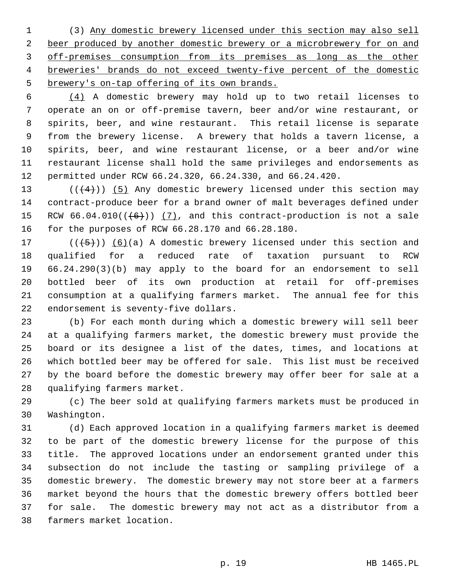1 (3) Any domestic brewery licensed under this section may also sell beer produced by another domestic brewery or a microbrewery for on and off-premises consumption from its premises as long as the other breweries' brands do not exceed twenty-five percent of the domestic brewery's on-tap offering of its own brands.

 6 (4) A domestic brewery may hold up to two retail licenses to 7 operate an on or off-premise tavern, beer and/or wine restaurant, or 8 spirits, beer, and wine restaurant. This retail license is separate 9 from the brewery license. A brewery that holds a tavern license, a 10 spirits, beer, and wine restaurant license, or a beer and/or wine 11 restaurant license shall hold the same privileges and endorsements as 12 permitted under RCW 66.24.320, 66.24.330, and 66.24.420.

13 ( $(\frac{4}{4})$ ) (5) Any domestic brewery licensed under this section may 14 contract-produce beer for a brand owner of malt beverages defined under 15 RCW  $66.04.010((\leftarrow\leftarrow\leftarrow))$  (7), and this contract-production is not a sale 16 for the purposes of RCW 66.28.170 and 66.28.180.

17 ( $(\frac{5}{6})$  (6)(a) A domestic brewery licensed under this section and 18 qualified for a reduced rate of taxation pursuant to RCW 19 66.24.290(3)(b) may apply to the board for an endorsement to sell 20 bottled beer of its own production at retail for off-premises 21 consumption at a qualifying farmers market. The annual fee for this 22 endorsement is seventy-five dollars.

23 (b) For each month during which a domestic brewery will sell beer 24 at a qualifying farmers market, the domestic brewery must provide the 25 board or its designee a list of the dates, times, and locations at 26 which bottled beer may be offered for sale. This list must be received 27 by the board before the domestic brewery may offer beer for sale at a 28 qualifying farmers market.

29 (c) The beer sold at qualifying farmers markets must be produced in 30 Washington.

31 (d) Each approved location in a qualifying farmers market is deemed 32 to be part of the domestic brewery license for the purpose of this 33 title. The approved locations under an endorsement granted under this 34 subsection do not include the tasting or sampling privilege of a 35 domestic brewery. The domestic brewery may not store beer at a farmers 36 market beyond the hours that the domestic brewery offers bottled beer 37 for sale. The domestic brewery may not act as a distributor from a 38 farmers market location.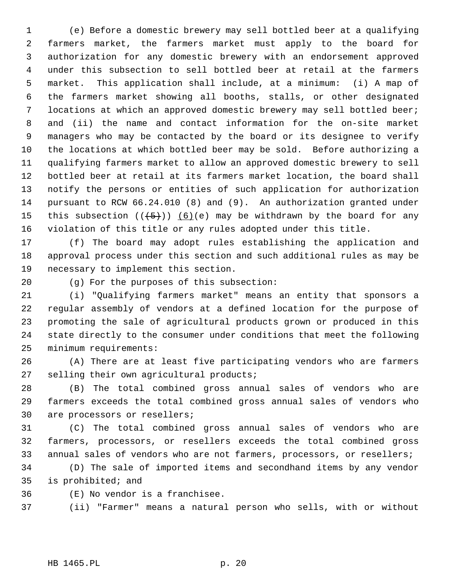1 (e) Before a domestic brewery may sell bottled beer at a qualifying 2 farmers market, the farmers market must apply to the board for 3 authorization for any domestic brewery with an endorsement approved 4 under this subsection to sell bottled beer at retail at the farmers 5 market. This application shall include, at a minimum: (i) A map of 6 the farmers market showing all booths, stalls, or other designated 7 locations at which an approved domestic brewery may sell bottled beer; 8 and (ii) the name and contact information for the on-site market 9 managers who may be contacted by the board or its designee to verify 10 the locations at which bottled beer may be sold. Before authorizing a 11 qualifying farmers market to allow an approved domestic brewery to sell 12 bottled beer at retail at its farmers market location, the board shall 13 notify the persons or entities of such application for authorization 14 pursuant to RCW 66.24.010 (8) and (9). An authorization granted under 15 this subsection  $((+5))$  (6)(e) may be withdrawn by the board for any 16 violation of this title or any rules adopted under this title.

17 (f) The board may adopt rules establishing the application and 18 approval process under this section and such additional rules as may be 19 necessary to implement this section.

20 (g) For the purposes of this subsection:

21 (i) "Qualifying farmers market" means an entity that sponsors a 22 regular assembly of vendors at a defined location for the purpose of 23 promoting the sale of agricultural products grown or produced in this 24 state directly to the consumer under conditions that meet the following 25 minimum requirements:

26 (A) There are at least five participating vendors who are farmers 27 selling their own agricultural products;

28 (B) The total combined gross annual sales of vendors who are 29 farmers exceeds the total combined gross annual sales of vendors who 30 are processors or resellers;

31 (C) The total combined gross annual sales of vendors who are 32 farmers, processors, or resellers exceeds the total combined gross 33 annual sales of vendors who are not farmers, processors, or resellers;

34 (D) The sale of imported items and secondhand items by any vendor 35 is prohibited; and

36 (E) No vendor is a franchisee.

37 (ii) "Farmer" means a natural person who sells, with or without